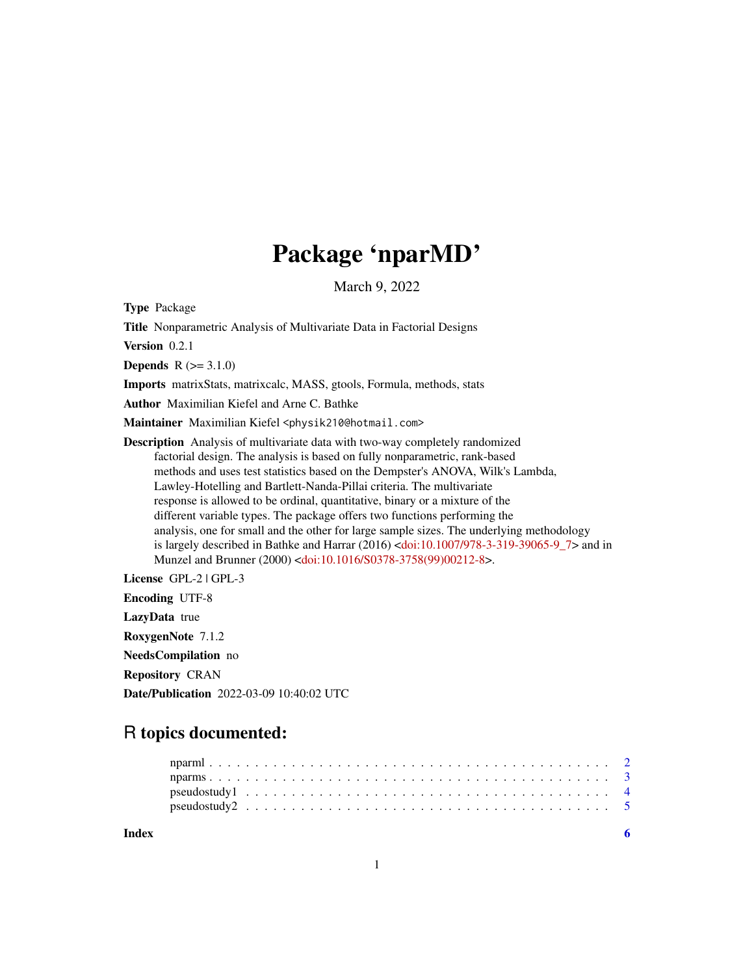# Package 'nparMD'

March 9, 2022

Type Package

Title Nonparametric Analysis of Multivariate Data in Factorial Designs Version 0.2.1 **Depends**  $R (= 3.1.0)$ Imports matrixStats, matrixcalc, MASS, gtools, Formula, methods, stats Author Maximilian Kiefel and Arne C. Bathke Maintainer Maximilian Kiefel <physik210@hotmail.com> Description Analysis of multivariate data with two-way completely randomized factorial design. The analysis is based on fully nonparametric, rank-based methods and uses test statistics based on the Dempster's ANOVA, Wilk's Lambda, Lawley-Hotelling and Bartlett-Nanda-Pillai criteria. The multivariate

response is allowed to be ordinal, quantitative, binary or a mixture of the different variable types. The package offers two functions performing the analysis, one for small and the other for large sample sizes. The underlying methodology is largely described in Bathke and Harrar (2016)  $\langle \text{doi:10.1007/978-3-319-39065-9} \rangle$  7> and in Munzel and Brunner (2000) [<doi:10.1016/S0378-3758\(99\)00212-8>](https://doi.org/10.1016/S0378-3758(99)00212-8).

License GPL-2 | GPL-3

Encoding UTF-8

LazyData true

RoxygenNote 7.1.2

NeedsCompilation no

Repository CRAN

Date/Publication 2022-03-09 10:40:02 UTC

## R topics documented:

| Index |  |  |  |  |  |  |  |  |  |  |  |  |  |  |  |  |  |  |  |  |
|-------|--|--|--|--|--|--|--|--|--|--|--|--|--|--|--|--|--|--|--|--|
|       |  |  |  |  |  |  |  |  |  |  |  |  |  |  |  |  |  |  |  |  |
|       |  |  |  |  |  |  |  |  |  |  |  |  |  |  |  |  |  |  |  |  |
|       |  |  |  |  |  |  |  |  |  |  |  |  |  |  |  |  |  |  |  |  |
|       |  |  |  |  |  |  |  |  |  |  |  |  |  |  |  |  |  |  |  |  |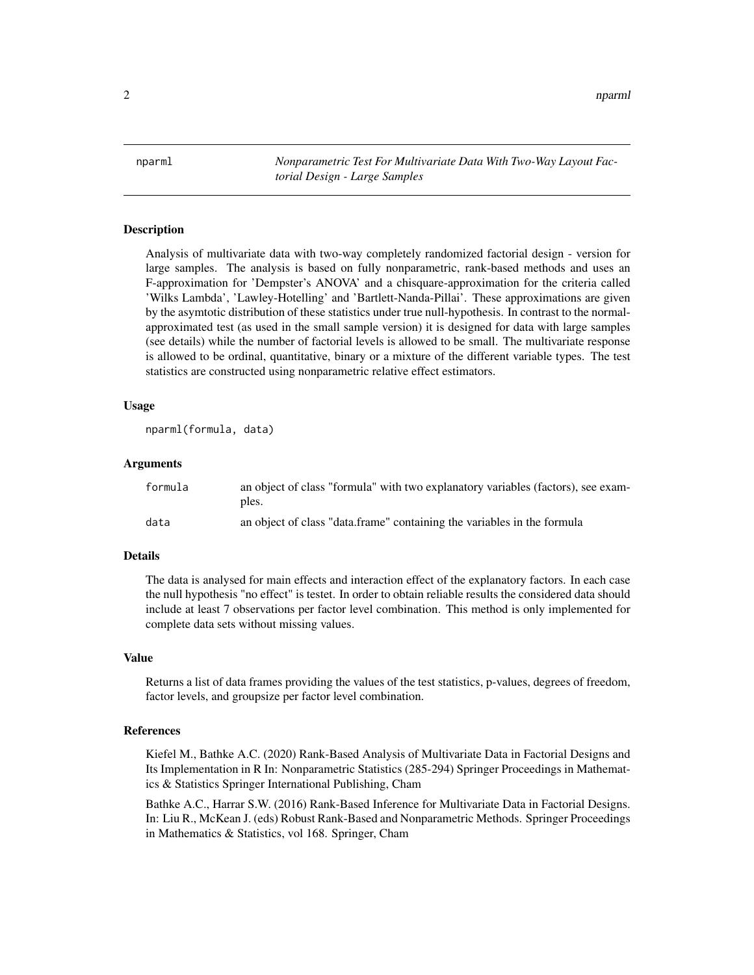<span id="page-1-0"></span> $2$  nparml

nparml *Nonparametric Test For Multivariate Data With Two-Way Layout Factorial Design - Large Samples*

#### Description

Analysis of multivariate data with two-way completely randomized factorial design - version for large samples. The analysis is based on fully nonparametric, rank-based methods and uses an F-approximation for 'Dempster's ANOVA' and a chisquare-approximation for the criteria called 'Wilks Lambda', 'Lawley-Hotelling' and 'Bartlett-Nanda-Pillai'. These approximations are given by the asymtotic distribution of these statistics under true null-hypothesis. In contrast to the normalapproximated test (as used in the small sample version) it is designed for data with large samples (see details) while the number of factorial levels is allowed to be small. The multivariate response is allowed to be ordinal, quantitative, binary or a mixture of the different variable types. The test statistics are constructed using nonparametric relative effect estimators.

#### Usage

nparml(formula, data)

#### Arguments

| formula | an object of class "formula" with two explanatory variables (factors), see exam-<br>ples. |
|---------|-------------------------------------------------------------------------------------------|
| data    | an object of class "data.frame" containing the variables in the formula                   |

### Details

The data is analysed for main effects and interaction effect of the explanatory factors. In each case the null hypothesis "no effect" is testet. In order to obtain reliable results the considered data should include at least 7 observations per factor level combination. This method is only implemented for complete data sets without missing values.

#### Value

Returns a list of data frames providing the values of the test statistics, p-values, degrees of freedom, factor levels, and groupsize per factor level combination.

#### References

Kiefel M., Bathke A.C. (2020) Rank-Based Analysis of Multivariate Data in Factorial Designs and Its Implementation in R In: Nonparametric Statistics (285-294) Springer Proceedings in Mathematics & Statistics Springer International Publishing, Cham

Bathke A.C., Harrar S.W. (2016) Rank-Based Inference for Multivariate Data in Factorial Designs. In: Liu R., McKean J. (eds) Robust Rank-Based and Nonparametric Methods. Springer Proceedings in Mathematics & Statistics, vol 168. Springer, Cham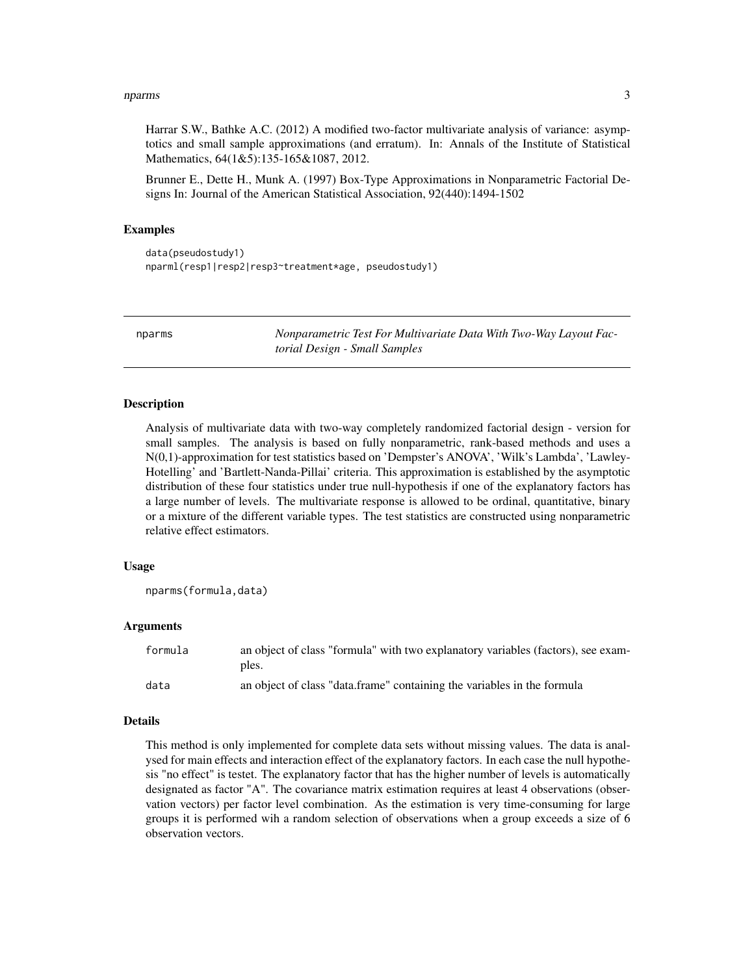#### <span id="page-2-0"></span>nparms 3

Harrar S.W., Bathke A.C. (2012) A modified two-factor multivariate analysis of variance: asymptotics and small sample approximations (and erratum). In: Annals of the Institute of Statistical Mathematics, 64(1&5):135-165&1087, 2012.

Brunner E., Dette H., Munk A. (1997) Box-Type Approximations in Nonparametric Factorial Designs In: Journal of the American Statistical Association, 92(440):1494-1502

#### Examples

data(pseudostudy1) nparml(resp1|resp2|resp3~treatment\*age, pseudostudy1)

nparms *Nonparametric Test For Multivariate Data With Two-Way Layout Factorial Design - Small Samples*

#### Description

Analysis of multivariate data with two-way completely randomized factorial design - version for small samples. The analysis is based on fully nonparametric, rank-based methods and uses a N(0,1)-approximation for test statistics based on 'Dempster's ANOVA', 'Wilk's Lambda', 'Lawley-Hotelling' and 'Bartlett-Nanda-Pillai' criteria. This approximation is established by the asymptotic distribution of these four statistics under true null-hypothesis if one of the explanatory factors has a large number of levels. The multivariate response is allowed to be ordinal, quantitative, binary or a mixture of the different variable types. The test statistics are constructed using nonparametric relative effect estimators.

#### Usage

nparms(formula,data)

#### Arguments

| formula | an object of class "formula" with two explanatory variables (factors), see exam-<br>ples. |
|---------|-------------------------------------------------------------------------------------------|
| data    | an object of class "data.frame" containing the variables in the formula                   |

#### Details

This method is only implemented for complete data sets without missing values. The data is analysed for main effects and interaction effect of the explanatory factors. In each case the null hypothesis "no effect" is testet. The explanatory factor that has the higher number of levels is automatically designated as factor "A". The covariance matrix estimation requires at least 4 observations (observation vectors) per factor level combination. As the estimation is very time-consuming for large groups it is performed wih a random selection of observations when a group exceeds a size of 6 observation vectors.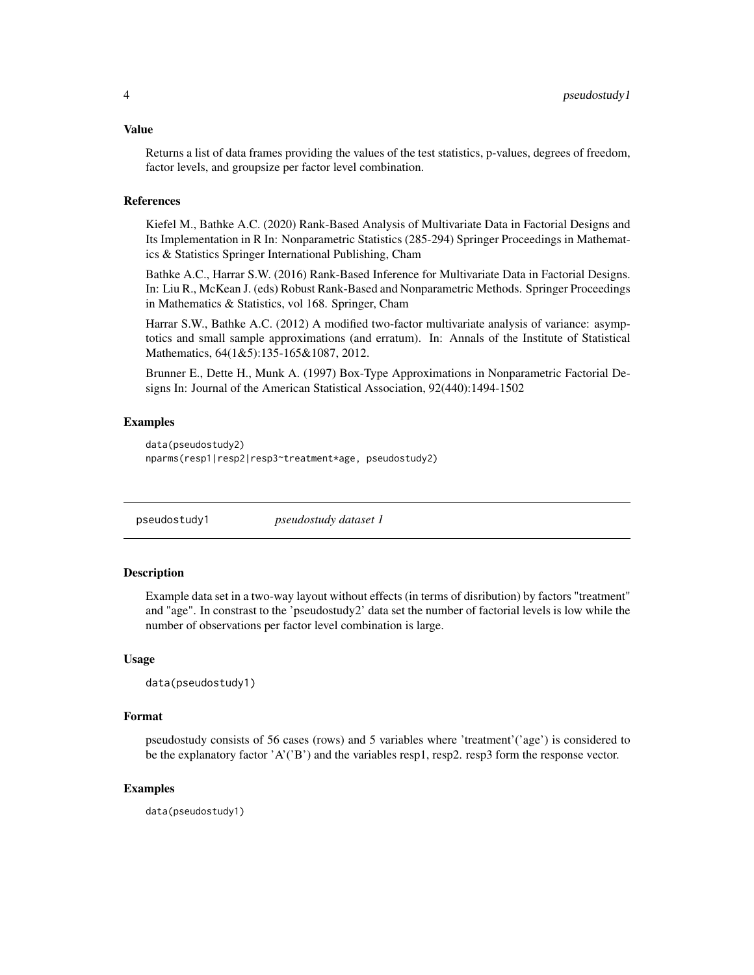#### <span id="page-3-0"></span>Value

Returns a list of data frames providing the values of the test statistics, p-values, degrees of freedom, factor levels, and groupsize per factor level combination.

#### References

Kiefel M., Bathke A.C. (2020) Rank-Based Analysis of Multivariate Data in Factorial Designs and Its Implementation in R In: Nonparametric Statistics (285-294) Springer Proceedings in Mathematics & Statistics Springer International Publishing, Cham

Bathke A.C., Harrar S.W. (2016) Rank-Based Inference for Multivariate Data in Factorial Designs. In: Liu R., McKean J. (eds) Robust Rank-Based and Nonparametric Methods. Springer Proceedings in Mathematics & Statistics, vol 168. Springer, Cham

Harrar S.W., Bathke A.C. (2012) A modified two-factor multivariate analysis of variance: asymptotics and small sample approximations (and erratum). In: Annals of the Institute of Statistical Mathematics, 64(1&5):135-165&1087, 2012.

Brunner E., Dette H., Munk A. (1997) Box-Type Approximations in Nonparametric Factorial Designs In: Journal of the American Statistical Association, 92(440):1494-1502

#### Examples

```
data(pseudostudy2)
nparms(resp1|resp2|resp3~treatment*age, pseudostudy2)
```
pseudostudy1 *pseudostudy dataset 1*

#### Description

Example data set in a two-way layout without effects (in terms of disribution) by factors "treatment" and "age". In constrast to the 'pseudostudy2' data set the number of factorial levels is low while the number of observations per factor level combination is large.

#### Usage

```
data(pseudostudy1)
```
#### Format

pseudostudy consists of 56 cases (rows) and 5 variables where 'treatment'('age') is considered to be the explanatory factor 'A'('B') and the variables resp1, resp2. resp3 form the response vector.

#### Examples

data(pseudostudy1)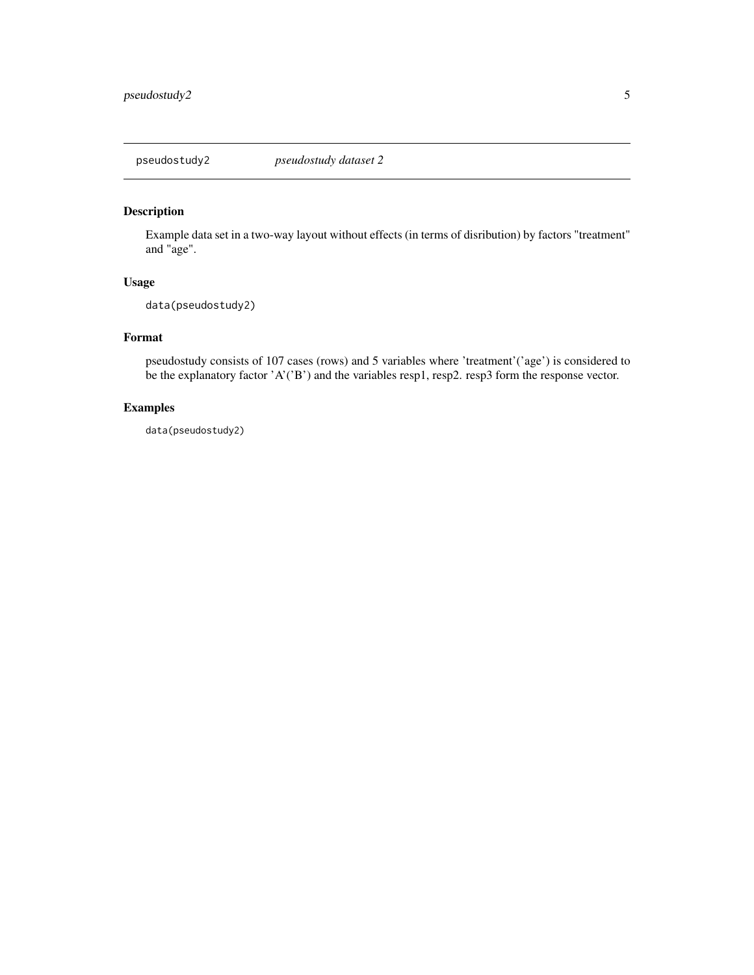<span id="page-4-0"></span>

### Description

Example data set in a two-way layout without effects (in terms of disribution) by factors "treatment" and "age".

#### Usage

data(pseudostudy2)

#### Format

pseudostudy consists of 107 cases (rows) and 5 variables where 'treatment'('age') is considered to be the explanatory factor 'A'('B') and the variables resp1, resp2. resp3 form the response vector.

#### Examples

data(pseudostudy2)